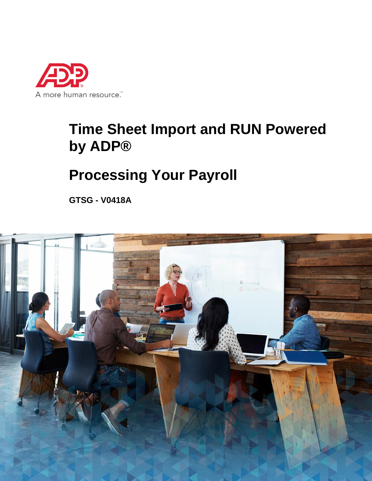

# **Time Sheet Import and RUN Powered by ADP®**

# **Processing Your Payroll**

**GTSG - V0418A**

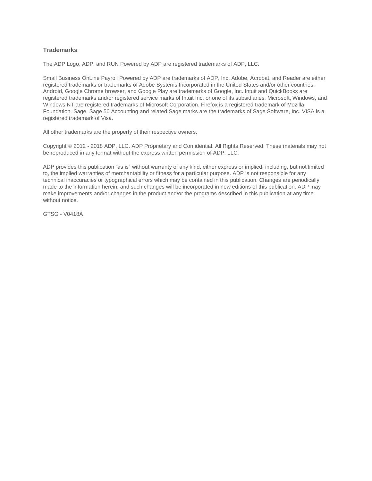#### **Trademarks**

The ADP Logo, ADP, and RUN Powered by ADP are registered trademarks of ADP, LLC.

Small Business OnLine Payroll Powered by ADP are trademarks of ADP, Inc. Adobe, Acrobat, and Reader are either registered trademarks or trademarks of Adobe Systems Incorporated in the United States and/or other countries. Android, Google Chrome browser, and Google Play are trademarks of Google, Inc. Intuit and QuickBooks are registered trademarks and/or registered service marks of Intuit Inc. or one of its subsidiaries. Microsoft, Windows, and Windows NT are registered trademarks of Microsoft Corporation. Firefox is a registered trademark of Mozilla Foundation. Sage, Sage 50 Accounting and related Sage marks are the trademarks of Sage Software, Inc. VISA is a registered trademark of Visa.

All other trademarks are the property of their respective owners.

Copyright © 2012 - 2018 ADP, LLC. ADP Proprietary and Confidential. All Rights Reserved. These materials may not be reproduced in any format without the express written permission of ADP, LLC.

ADP provides this publication "as is" without warranty of any kind, either express or implied, including, but not limited to, the implied warranties of merchantability or fitness for a particular purpose. ADP is not responsible for any technical inaccuracies or typographical errors which may be contained in this publication. Changes are periodically made to the information herein, and such changes will be incorporated in new editions of this publication. ADP may make improvements and/or changes in the product and/or the programs described in this publication at any time without notice.

GTSG - V0418A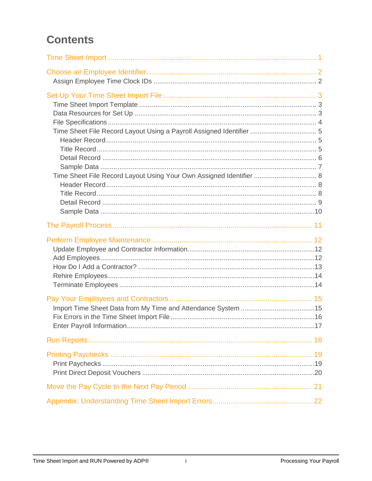# **Contents**

| Time Sheet File Record Layout Using a Payroll Assigned Identifier  5<br>Time Sheet File Record Layout Using Your Own Assigned Identifier  8 |  |
|---------------------------------------------------------------------------------------------------------------------------------------------|--|
|                                                                                                                                             |  |
|                                                                                                                                             |  |
|                                                                                                                                             |  |
|                                                                                                                                             |  |
|                                                                                                                                             |  |
|                                                                                                                                             |  |
|                                                                                                                                             |  |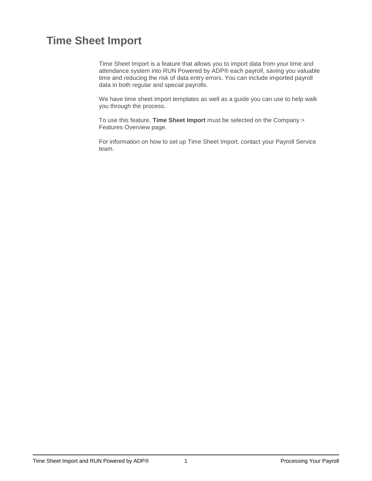# <span id="page-3-0"></span>**Time Sheet Import**

Time Sheet Import is a feature that allows you to import data from your time and attendance system into RUN Powered by ADP® each payroll, saving you valuable time and reducing the risk of data entry errors. You can include imported payroll data in both regular and special payrolls.

We have time sheet import templates as well as a guide you can use to help walk you through the process.

To use this feature, **Time Sheet Import** must be selected on the Company > Features Overview page.

For information on how to set up Time Sheet Import, contact your Payroll Service team.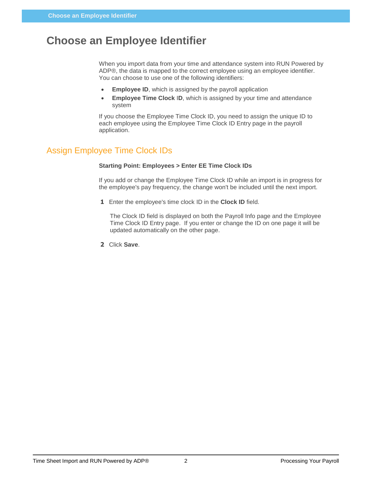# <span id="page-4-0"></span>**Choose an Employee Identifier**

When you import data from your time and attendance system into RUN Powered by ADP®, the data is mapped to the correct employee using an employee identifier. You can choose to use one of the following identifiers:

- **Employee ID**, which is assigned by the payroll application
- **Employee Time Clock** I**D**, which is assigned by your time and attendance system

If you choose the Employee Time Clock ID, you need to assign the unique ID to each employee using the Employee Time Clock ID Entry page in the payroll application.

# <span id="page-4-1"></span>Assign Employee Time Clock IDs

#### **Starting Point: Employees > Enter EE Time Clock IDs**

If you add or change the Employee Time Clock ID while an import is in progress for the employee's pay frequency, the change won't be included until the next import.

**1** Enter the employee's time clock ID in the **Clock ID** field.

The Clock ID field is displayed on both the Payroll Info page and the Employee Time Clock ID Entry page. If you enter or change the ID on one page it will be updated automatically on the other page.

**2** Click **Save**.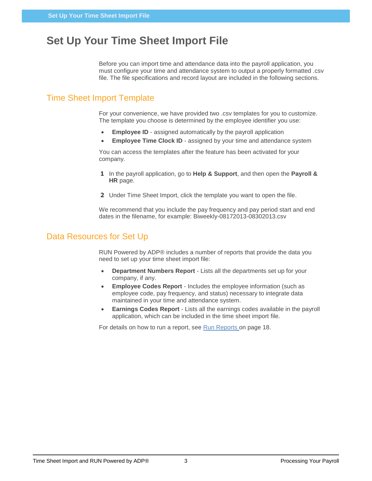# <span id="page-5-0"></span>**Set Up Your Time Sheet Import File**

Before you can import time and attendance data into the payroll application, you must configure your time and attendance system to output a properly formatted .csv file. The file specifications and record layout are included in the following sections.

# <span id="page-5-1"></span>Time Sheet Import Template

For your convenience, we have provided two .csv templates for you to customize. The template you choose is determined by the employee identifier you use:

- **Employee ID** assigned automatically by the payroll application
- **Employee Time Clock ID** assigned by your time and attendance system

You can access the templates after the feature has been activated for your company.

- **1** In the payroll application, go to **Help & Support**, and then open the **Payroll & HR** page.
- **2** Under Time Sheet Import, click the template you want to open the file.

We recommend that you include the pay frequency and pay period start and end dates in the filename, for example: Biweekly-08172013-08302013.csv

### <span id="page-5-2"></span>Data Resources for Set Up

RUN Powered by ADP® includes a number of reports that provide the data you need to set up your time sheet import file:

- **Department Numbers Report**  Lists all the departments set up for your company, if any.
- **Employee Codes Report**  Includes the employee information (such as employee code, pay frequency, and status) necessary to integrate data maintained in your time and attendance system.
- **Earnings Codes Report**  Lists all the earnings codes available in the payroll application, which can be included in the time sheet import file.

For details on how to run a report, see [Run Reports](#page-20-0) on page [18.](#page-20-0)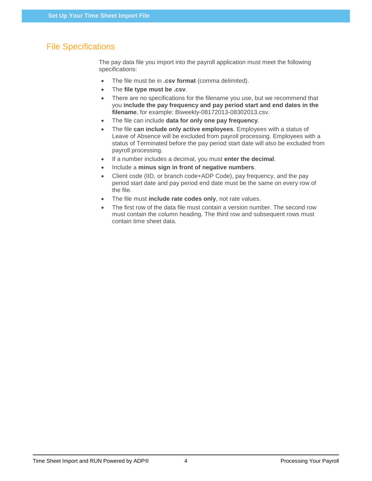# <span id="page-6-0"></span>File Specifications

The pay data file you import into the payroll application must meet the following specifications:

- The file must be in **.csv format** (comma delimited).
- The **file type must be .csv**.
- There are no specifications for the filename you use, but we recommend that you **include the pay frequency and pay period start and end dates in the filename**, for example: Biweekly-08172013-08302013.csv.
- The file can include **data for only one pay frequency**.
- The file **can include only active employees**. Employees with a status of Leave of Absence will be excluded from payroll processing. Employees with a status of Terminated before the pay period start date will also be excluded from payroll processing.
- If a number includes a decimal, you must **enter the decimal**.
- Include a **minus sign in front of negative numbers**.
- Client code (IID, or branch code+ADP Code), pay frequency, and the pay period start date and pay period end date must be the same on every row of the file.
- The file must **include rate codes only**, not rate values.
- The first row of the data file must contain a version number. The second row must contain the column heading. The third row and subsequent rows must contain time sheet data.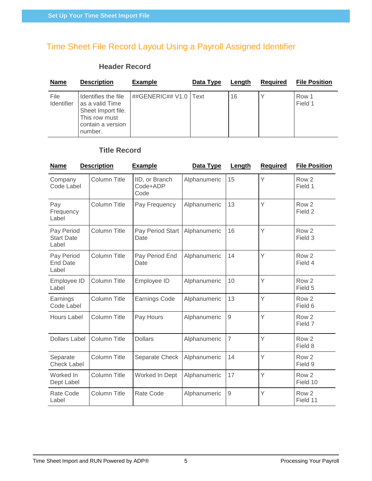# <span id="page-7-1"></span><span id="page-7-0"></span>Time Sheet File Record Layout Using a Payroll Assigned Identifier

### **Header Record**

| <b>Name</b>        | <b>Description</b>                                                                                            | <b>Example</b>          | Data Type | Length | <b>Required</b> | <b>File Position</b> |
|--------------------|---------------------------------------------------------------------------------------------------------------|-------------------------|-----------|--------|-----------------|----------------------|
| File<br>Identifier | Identifies the file<br>as a valid Time<br>Sheet Import file.<br>This row must<br>contain a version<br>number. | ##GENERIC## V1.0   Text |           | 16     |                 | Row 1<br>Field 1     |

### **Title Record**

<span id="page-7-2"></span>

| <b>Name</b>                              | <b>Description</b>  | <b>Example</b>                     | Data Type    | Length         | <b>Required</b> | <b>File Position</b>         |
|------------------------------------------|---------------------|------------------------------------|--------------|----------------|-----------------|------------------------------|
| Company<br>Code Label                    | <b>Column Title</b> | IID, or Branch<br>Code+ADP<br>Code | Alphanumeric | 15             | Y               | Row <sub>2</sub><br>Field 1  |
| Pay<br>Frequency<br>Label                | <b>Column Title</b> | Pay Frequency                      | Alphanumeric | 13             | Y               | Row <sub>2</sub><br>Field 2  |
| Pay Period<br><b>Start Date</b><br>Label | <b>Column Title</b> | Pay Period Start<br>Date           | Alphanumeric | 16             | Y               | Row <sub>2</sub><br>Field 3  |
| Pay Period<br><b>End Date</b><br>Label   | <b>Column Title</b> | Pay Period End<br>Date             | Alphanumeric | 14             | Y               | Row <sub>2</sub><br>Field 4  |
| Employee ID<br>Label                     | <b>Column Title</b> | Employee ID                        | Alphanumeric | 10             | Y               | Row <sub>2</sub><br>Field 5  |
| Earnings<br>Code Label                   | <b>Column Title</b> | Earnings Code                      | Alphanumeric | 13             | Y               | Row <sub>2</sub><br>Field 6  |
| <b>Hours Label</b>                       | <b>Column Title</b> | Pay Hours                          | Alphanumeric | 9              | Y               | Row <sub>2</sub><br>Field 7  |
| <b>Dollars Label</b>                     | Column Title        | <b>Dollars</b>                     | Alphanumeric | $\overline{7}$ | Y               | Row <sub>2</sub><br>Field 8  |
| Separate<br><b>Check Label</b>           | <b>Column Title</b> | Separate Check                     | Alphanumeric | 14             | Y               | Row <sub>2</sub><br>Field 9  |
| Worked In<br>Dept Label                  | <b>Column Title</b> | Worked In Dept                     | Alphanumeric | 17             | Y               | Row <sub>2</sub><br>Field 10 |
| Rate Code<br>Label                       | <b>Column Title</b> | Rate Code                          | Alphanumeric | $\mathsf g$    | Y               | Row <sub>2</sub><br>Field 11 |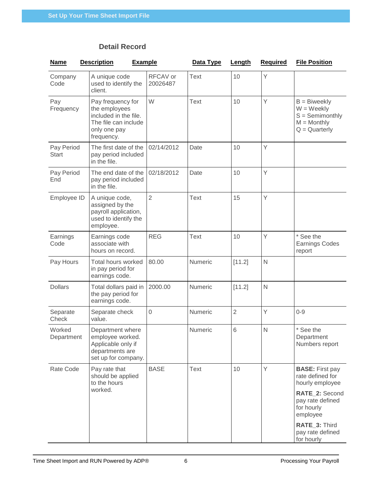## **Detail Record**

<span id="page-8-0"></span>

| <b>Name</b>                | <b>Description</b>                                                                                                | <b>Example</b> |                      | Data Type   | Length         | <b>Required</b> | <b>File Position</b>                                                                                                                                                             |
|----------------------------|-------------------------------------------------------------------------------------------------------------------|----------------|----------------------|-------------|----------------|-----------------|----------------------------------------------------------------------------------------------------------------------------------------------------------------------------------|
| Company<br>Code            | A unique code<br>used to identify the<br>client.                                                                  |                | RFCAV or<br>20026487 | <b>Text</b> | 10             | Y               |                                                                                                                                                                                  |
| Pay<br>Frequency           | Pay frequency for<br>the employees<br>included in the file.<br>The file can include<br>only one pay<br>frequency. |                | W                    | <b>Text</b> | 10             | Y               | $B = B$ iweekly<br>$W = Weekly$<br>$S =$ Semimonthly<br>$M =$ Monthly<br>$Q =$ Quarterly                                                                                         |
| Pay Period<br><b>Start</b> | The first date of the<br>pay period included<br>in the file.                                                      |                | 02/14/2012           | Date        | 10             | Y               |                                                                                                                                                                                  |
| Pay Period<br>End          | The end date of the<br>pay period included<br>in the file.                                                        |                | 02/18/2012           | Date        | 10             | Y               |                                                                                                                                                                                  |
| Employee ID                | A unique code,<br>assigned by the<br>payroll application,<br>used to identify the<br>employee.                    |                | $\overline{2}$       | <b>Text</b> | 15             | Y               |                                                                                                                                                                                  |
| Earnings<br>Code           | Earnings code<br>associate with<br>hours on record.                                                               |                | <b>REG</b>           | <b>Text</b> | 10             | Y               | * See the<br><b>Earnings Codes</b><br>report                                                                                                                                     |
| Pay Hours                  | Total hours worked<br>in pay period for<br>earnings code.                                                         |                | 80.00                | Numeric     | [11.2]         | $\mathsf{N}$    |                                                                                                                                                                                  |
| <b>Dollars</b>             | Total dollars paid in<br>the pay period for<br>earnings code.                                                     |                | 2000.00              | Numeric     | [11.2]         | $\mathsf{N}$    |                                                                                                                                                                                  |
| Separate<br>Check          | Separate check<br>value.                                                                                          |                | $\mathbf 0$          | Numeric     | $\overline{2}$ | Y               | $0 - 9$                                                                                                                                                                          |
| Worked<br>Department       | Department where<br>employee worked.<br>Applicable only if<br>departments are<br>set up for company.              |                |                      | Numeric     | 6              | N               | * See the<br>Department<br>Numbers report                                                                                                                                        |
| Rate Code                  | Pay rate that<br>should be applied<br>to the hours<br>worked.                                                     |                | <b>BASE</b>          | <b>Text</b> | 10             | Y               | <b>BASE: First pay</b><br>rate defined for<br>hourly employee<br>RATE_2: Second<br>pay rate defined<br>for hourly<br>employee<br>RATE_3: Third<br>pay rate defined<br>for hourly |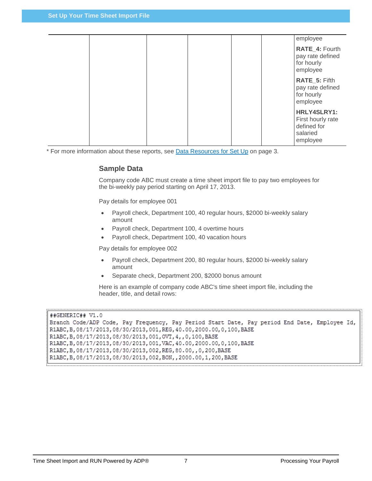|  |  |  | employee                                                                |
|--|--|--|-------------------------------------------------------------------------|
|  |  |  | RATE_4: Fourth<br>pay rate defined<br>for hourly<br>employee            |
|  |  |  | RATE_5: Fifth<br>pay rate defined<br>for hourly<br>employee             |
|  |  |  | HRLY4SLRY1:<br>First hourly rate<br>defined for<br>salaried<br>employee |

<span id="page-9-0"></span>\* For more information about these reports, see [Data Resources for Set Up](#page-5-2) on page [3.](#page-5-2)

#### **Sample Data**

Company code ABC must create a time sheet import file to pay two employees for the bi-weekly pay period starting on April 17, 2013.

Pay details for employee 001

- Payroll check, Department 100, 40 regular hours, \$2000 bi-weekly salary amount
- Payroll check, Department 100, 4 overtime hours
- Payroll check, Department 100, 40 vacation hours

Pay details for employee 002

- Payroll check, Department 200, 80 regular hours, \$2000 bi-weekly salary amount
- Separate check, Department 200, \$2000 bonus amount

Here is an example of company code ABC's time sheet import file, including the header, title, and detail rows:

```
##GENERIC## V1.0
Branch Code/ADP Code, Pay Frequency, Pay Period Start Date, Pay period End Date, Employee Id,
R1ABC, B, 08/17/2013, 08/30/2013, 001, REG, 40.00, 2000.00, 0, 100, BASE
R1ABC, B, 08/17/2013, 08/30/2013, 001, OVT, 4, , 0, 100, BASE
R1ABC, B, 08/17/2013, 08/30/2013, 001, VAC, 40.00, 2000.00, 0, 100, BASE
R1ABC, B, 08/17/2013, 08/30/2013, 002, REG, 80.00, , 0, 200, BASE
R1ABC, B, 08/17/2013, 08/30/2013, 002, BON, , 2000.00, 1, 200, BASE
```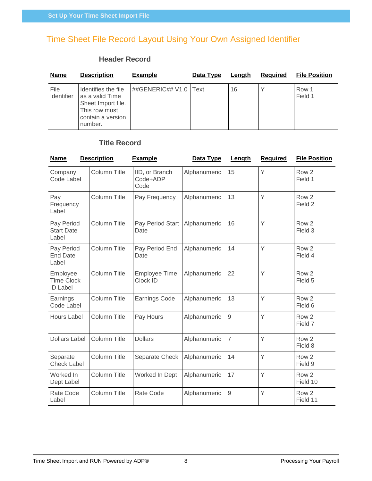# <span id="page-10-1"></span><span id="page-10-0"></span>Time Sheet File Record Layout Using Your Own Assigned Identifier

### **Header Record**

| <b>Name</b>        | <b>Description</b>                                                                                            | Example                 | Data Type | Lenath | <b>Required</b> | <b>File Position</b> |
|--------------------|---------------------------------------------------------------------------------------------------------------|-------------------------|-----------|--------|-----------------|----------------------|
| File<br>Identifier | Identifies the file<br>as a valid Time<br>Sheet Import file.<br>This row must<br>contain a version<br>number. | ##GENERIC## V1.0   Text |           | 16     |                 | Row 1<br>Field 1     |

### **Title Record**

<span id="page-10-2"></span>

| <b>Name</b>                                      | <b>Description</b>  | <b>Example</b>                     | Data Type    | Length         | <b>Required</b> | <b>File Position</b>         |
|--------------------------------------------------|---------------------|------------------------------------|--------------|----------------|-----------------|------------------------------|
| Company<br>Code Label                            | Column Title        | IID, or Branch<br>Code+ADP<br>Code | Alphanumeric | 15             | Y               | Row <sub>2</sub><br>Field 1  |
| Pay<br>Frequency<br>Label                        | <b>Column Title</b> | Pay Frequency                      | Alphanumeric | 13             | Y               | Row <sub>2</sub><br>Field 2  |
| Pay Period<br><b>Start Date</b><br>Label         | <b>Column Title</b> | Pay Period Start<br>Date           | Alphanumeric | 16             | Y               | Row <sub>2</sub><br>Field 3  |
| Pay Period<br><b>End Date</b><br>Label           | <b>Column Title</b> | Pay Period End<br>Date             | Alphanumeric | 14             | Y               | Row <sub>2</sub><br>Field 4  |
| Employee<br><b>Time Clock</b><br><b>ID Label</b> | Column Title        | <b>Employee Time</b><br>Clock ID   | Alphanumeric | 22             | Y               | Row <sub>2</sub><br>Field 5  |
| Earnings<br>Code Label                           | Column Title        | Earnings Code                      | Alphanumeric | 13             | Y               | Row <sub>2</sub><br>Field 6  |
| <b>Hours Label</b>                               | <b>Column Title</b> | Pay Hours                          | Alphanumeric | $\mathsf g$    | Ÿ               | Row <sub>2</sub><br>Field 7  |
| <b>Dollars Label</b>                             | <b>Column Title</b> | <b>Dollars</b>                     | Alphanumeric | $\overline{7}$ | Y               | Row <sub>2</sub><br>Field 8  |
| Separate<br><b>Check Label</b>                   | <b>Column Title</b> | Separate Check                     | Alphanumeric | 14             | Y               | Row <sub>2</sub><br>Field 9  |
| Worked In<br>Dept Label                          | <b>Column Title</b> | Worked In Dept                     | Alphanumeric | 17             | Y               | Row <sub>2</sub><br>Field 10 |
| Rate Code<br>Label                               | <b>Column Title</b> | Rate Code                          | Alphanumeric | $\overline{9}$ | Y               | Row <sub>2</sub><br>Field 11 |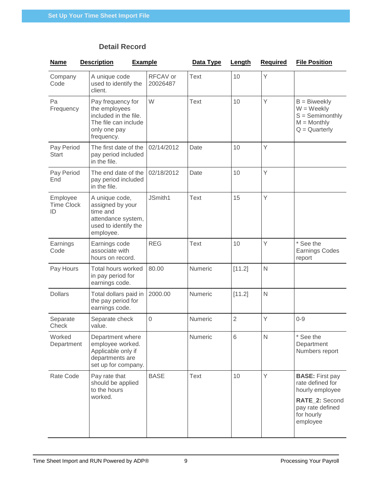## **Detail Record**

<span id="page-11-0"></span>

| <b>Name</b>                         | <b>Description</b>                                                                                                | <b>Example</b> |                      | Data Type   | Length         | <b>Required</b> | <b>File Position</b>                                                                                                          |
|-------------------------------------|-------------------------------------------------------------------------------------------------------------------|----------------|----------------------|-------------|----------------|-----------------|-------------------------------------------------------------------------------------------------------------------------------|
| Company<br>Code                     | A unique code<br>used to identify the<br>client.                                                                  |                | RFCAV or<br>20026487 | <b>Text</b> | 10             | Y               |                                                                                                                               |
| Pa<br>Frequency                     | Pay frequency for<br>the employees<br>included in the file.<br>The file can include<br>only one pay<br>frequency. |                | W                    | <b>Text</b> | 10             | Y               | $B = B$ iweekly<br>$W = Weekly$<br>$S =$ Semimonthly<br>$M =$ Monthly<br>$Q =$ Quarterly                                      |
| Pay Period<br><b>Start</b>          | The first date of the<br>pay period included<br>in the file.                                                      |                | 02/14/2012           | Date        | 10             | Y               |                                                                                                                               |
| Pay Period<br>End                   | The end date of the<br>pay period included<br>in the file.                                                        |                | 02/18/2012           | Date        | 10             | Y               |                                                                                                                               |
| Employee<br><b>Time Clock</b><br>ID | A unique code,<br>assigned by your<br>time and<br>attendance system,<br>used to identify the<br>employee.         |                | JSmith1              | <b>Text</b> | 15             | Y               |                                                                                                                               |
| Earnings<br>Code                    | Earnings code<br>associate with<br>hours on record.                                                               |                | <b>REG</b>           | Text        | 10             | Y               | * See the<br><b>Earnings Codes</b><br>report                                                                                  |
| Pay Hours                           | Total hours worked<br>in pay period for<br>earnings code.                                                         |                | 80.00                | Numeric     | [11.2]         | N               |                                                                                                                               |
| <b>Dollars</b>                      | Total dollars paid in<br>the pay period for<br>earnings code.                                                     |                | 2000.00              | Numeric     | [11.2]         | N               |                                                                                                                               |
| Separate<br>Check                   | Separate check<br>value.                                                                                          |                | $\mathbf 0$          | Numeric     | $\overline{2}$ | Y               | $0 - 9$                                                                                                                       |
| Worked<br>Department                | Department where<br>employee worked.<br>Applicable only if<br>departments are<br>set up for company.              |                |                      | Numeric     | 6              | N               | * See the<br>Department<br>Numbers report                                                                                     |
| Rate Code                           | Pay rate that<br>should be applied<br>to the hours<br>worked.                                                     |                | <b>BASE</b>          | <b>Text</b> | 10             | Y               | <b>BASE: First pay</b><br>rate defined for<br>hourly employee<br>RATE_2: Second<br>pay rate defined<br>for hourly<br>employee |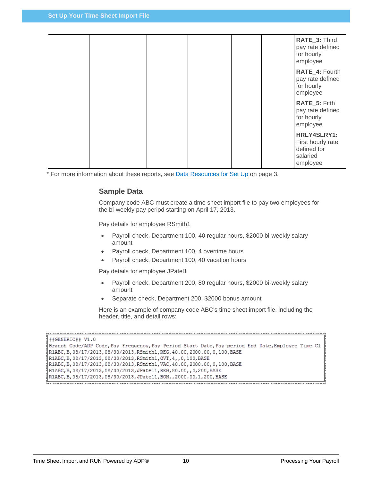|  |  |  | RATE_3: Third<br>pay rate defined<br>for hourly<br>employee             |
|--|--|--|-------------------------------------------------------------------------|
|  |  |  | RATE_4: Fourth<br>pay rate defined<br>for hourly<br>employee            |
|  |  |  | RATE_5: Fifth<br>pay rate defined<br>for hourly<br>employee             |
|  |  |  | HRLY4SLRY1:<br>First hourly rate<br>defined for<br>salaried<br>employee |

<span id="page-12-0"></span>\* For more information about these reports, see [Data Resources for Set Up](#page-5-2) on page [3.](#page-5-2)

#### **Sample Data**

Company code ABC must create a time sheet import file to pay two employees for the bi-weekly pay period starting on April 17, 2013.

Pay details for employee RSmith1

- Payroll check, Department 100, 40 regular hours, \$2000 bi-weekly salary amount
- Payroll check, Department 100, 4 overtime hours
- Payroll check, Department 100, 40 vacation hours

Pay details for employee JPatel1

- Payroll check, Department 200, 80 regular hours, \$2000 bi-weekly salary amount
- Separate check, Department 200, \$2000 bonus amount

Here is an example of company code ABC's time sheet import file, including the header, title, and detail rows:

```
##GENERIC## V1.0
```

```
Branch Code/ADP Code, Pay Frequency, Pay Period Start Date, Pay period End Date, Employee Time Cl
R1ABC, B, 08/17/2013, 08/30/2013, RSmith1, REG, 40.00, 2000.00, 0, 100, BASE
R1ABC, B, 08/17/2013, 08/30/2013, RSmith1, OVT, 4, , 0, 100, BASE
R1ABC, B, 08/17/2013, 08/30/2013, RSmith1, VAC, 40.00, 2000.00, 0, 100, BASE
R1ABC, B, 08/17/2013, 08/30/2013, JPatel1, REG, 80.00, , 0, 200, BASE
R1ABC, B, 08/17/2013, 08/30/2013, JPatel1, BON, , 2000.00, 1, 200, BASE
```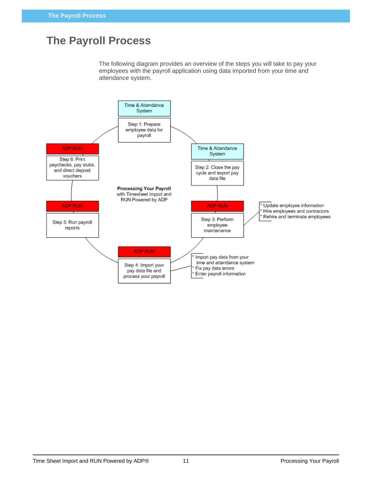# <span id="page-13-0"></span>**The Payroll Process**

The following diagram provides an overview of the steps you will take to pay your employees with the payroll application using data imported from your time and attendance system.

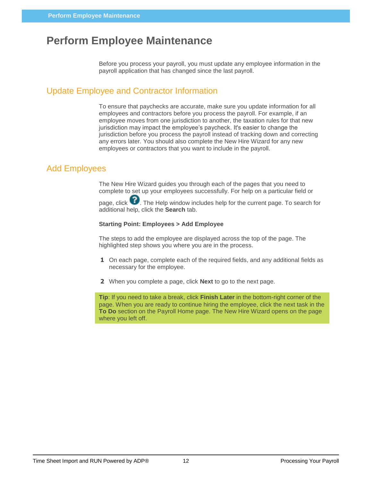# <span id="page-14-0"></span>**Perform Employee Maintenance**

Before you process your payroll, you must update any employee information in the payroll application that has changed since the last payroll.

### <span id="page-14-1"></span>Update Employee and Contractor Information

To ensure that paychecks are accurate, make sure you update information for all employees and contractors before you process the payroll. For example, if an employee moves from one jurisdiction to another, the taxation rules for that new jurisdiction may impact the employee's paycheck. It's easier to change the jurisdiction before you process the payroll instead of tracking down and correcting any errors later. You should also complete the New Hire Wizard for any new employees or contractors that you want to include in the payroll.

## <span id="page-14-2"></span>Add Employees

The New Hire Wizard guides you through each of the pages that you need to complete to set up your employees successfully. For help on a particular field or

page, click  $\bullet$ . The Help window includes help for the current page. To search for additional help, click the **Search** tab.

#### **Starting Point: Employees > Add Employee**

The steps to add the employee are displayed across the top of the page. The highlighted step shows you where you are in the process.

- **1** On each page, complete each of the required fields, and any additional fields as necessary for the employee.
- **2** When you complete a page, click **Next** to go to the next page.

**Tip**: If you need to take a break, click **Finish Later** in the bottom-right corner of the page. When you are ready to continue hiring the employee, click the next task in the **To Do** section on the Payroll Home page. The New Hire Wizard opens on the page where you left off.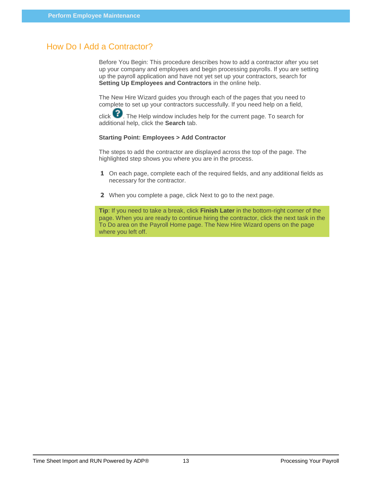### <span id="page-15-0"></span>How Do I Add a Contractor?

Before You Begin: This procedure describes how to add a contractor after you set up your company and employees and begin processing payrolls. If you are setting up the payroll application and have not yet set up your contractors, search for **Setting Up Employees and Contractors** in the online help.

The New Hire Wizard guides you through each of the pages that you need to complete to set up your contractors successfully. If you need help on a field,

click  $\bullet$ . The Help window includes help for the current page. To search for additional help, click the **Search** tab.

#### **Starting Point: Employees > Add Contractor**

The steps to add the contractor are displayed across the top of the page. The highlighted step shows you where you are in the process.

- **1** On each page, complete each of the required fields, and any additional fields as necessary for the contractor.
- **2** When you complete a page, click Next to go to the next page.

**Tip**: If you need to take a break, click **Finish Later** in the bottom-right corner of the page. When you are ready to continue hiring the contractor, click the next task in the To Do area on the Payroll Home page. The New Hire Wizard opens on the page where you left off.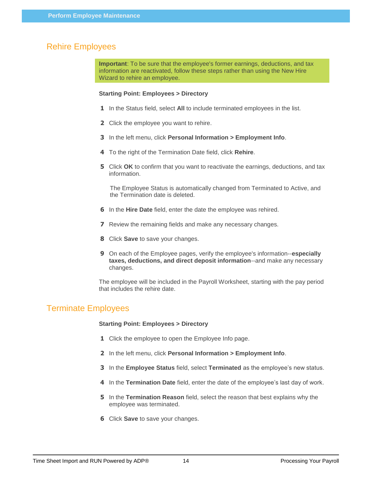### <span id="page-16-0"></span>Rehire Employees

**Important**: To be sure that the employee's former earnings, deductions, and tax information are reactivated, follow these steps rather than using the New Hire Wizard to rehire an employee.

#### **Starting Point: Employees > Directory**

- **1** In the Status field, select **All** to include terminated employees in the list.
- **2** Click the employee you want to rehire.
- **3** In the left menu, click **Personal Information > Employment Info**.
- **4** To the right of the Termination Date field, click **Rehire**.
- **5** Click **OK** to confirm that you want to reactivate the earnings, deductions, and tax information.

The Employee Status is automatically changed from Terminated to Active, and the Termination date is deleted.

- **6** In the **Hire Date** field, enter the date the employee was rehired.
- **7** Review the remaining fields and make any necessary changes.
- **8** Click **Save** to save your changes.
- **9** On each of the Employee pages, verify the employee's information--**especially taxes, deductions, and direct deposit information**--and make any necessary changes.

The employee will be included in the Payroll Worksheet, starting with the pay period that includes the rehire date.

### <span id="page-16-1"></span>Terminate Employees

#### **Starting Point: Employees > Directory**

- **1** Click the employee to open the Employee Info page.
- **2** In the left menu, click **Personal Information > Employment Info**.
- **3** In the **Employee Status** field, select **Terminated** as the employee's new status.
- **4** In the **Termination Date** field, enter the date of the employee's last day of work.
- **5** In the **Termination Reason** field, select the reason that best explains why the employee was terminated.
- **6** Click **Save** to save your changes.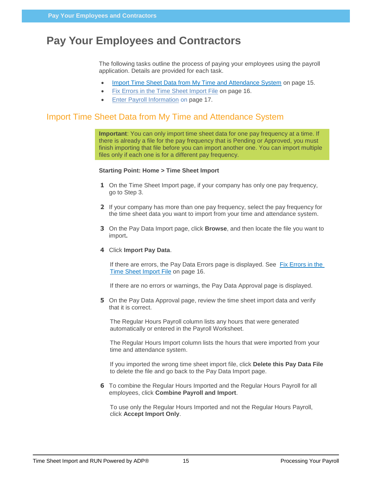# <span id="page-17-0"></span>**Pay Your Employees and Contractors**

The following tasks outline the process of paying your employees using the payroll application. Details are provided for each task.

- [Import Time Sheet Data from My Time and Attendance System](#page-17-1) on page [15.](#page-17-1)
- [Fix Errors in the Time Sheet Import File](#page-18-0) on page [16.](#page-18-0)
- [Enter Payroll Information](#page-19-0) on page [17.](#page-19-0)

## <span id="page-17-1"></span>Import Time Sheet Data from My Time and Attendance System

**Important**: You can only import time sheet data for one pay frequency at a time. If there is already a file for the pay frequency that is Pending or Approved, you must finish importing that file before you can import another one. You can import multiple files only if each one is for a different pay frequency.

#### **Starting Point: Home > Time Sheet Import**

- **1** On the Time Sheet Import page, if your company has only one pay frequency, go to Step 3.
- **2** If your company has more than one pay frequency, select the pay frequency for the time sheet data you want to import from your time and attendance system.
- **3** On the Pay Data Import page, click **Browse**, and then locate the file you want to import**.**

#### **4** Click **Import Pay Data**.

If there are errors, the Pay Data Errors page is displayed. See [Fix Errors in the](#page-18-0)  [Time Sheet Import File](#page-18-0) on page [16.](#page-18-0)

If there are no errors or warnings, the Pay Data Approval page is displayed.

**5** On the Pay Data Approval page, review the time sheet import data and verify that it is correct.

The Regular Hours Payroll column lists any hours that were generated automatically or entered in the Payroll Worksheet.

The Regular Hours Import column lists the hours that were imported from your time and attendance system.

If you imported the wrong time sheet import file, click **Delete this Pay Data File**  to delete the file and go back to the Pay Data Import page.

**6** To combine the Regular Hours Imported and the Regular Hours Payroll for all employees, click **Combine Payroll and Import**.

To use only the Regular Hours Imported and not the Regular Hours Payroll, click **Accept Import Only**.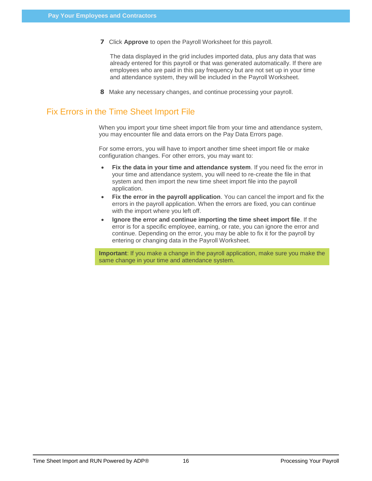**7** Click **Approve** to open the Payroll Worksheet for this payroll.

The data displayed in the grid includes imported data, plus any data that was already entered for this payroll or that was generated automatically. If there are employees who are paid in this pay frequency but are not set up in your time and attendance system, they will be included in the Payroll Worksheet.

**8** Make any necessary changes, and continue processing your payroll.

# <span id="page-18-0"></span>Fix Errors in the Time Sheet Import File

When you import your time sheet import file from your time and attendance system, you may encounter file and data errors on the Pay Data Errors page.

For some errors, you will have to import another time sheet import file or make configuration changes. For other errors, you may want to:

- **Fix the data in your time and attendance system**. If you need fix the error in your time and attendance system, you will need to re-create the file in that system and then import the new time sheet import file into the payroll application.
- **Fix the error in the payroll application**. You can cancel the import and fix the errors in the payroll application. When the errors are fixed, you can continue with the import where you left off.
- **Ignore the error and continue importing the time sheet import file**. If the error is for a specific employee, earning, or rate, you can ignore the error and continue. Depending on the error, you may be able to fix it for the payroll by entering or changing data in the Payroll Worksheet.

**Important**: If you make a change in the payroll application, make sure you make the same change in your time and attendance system.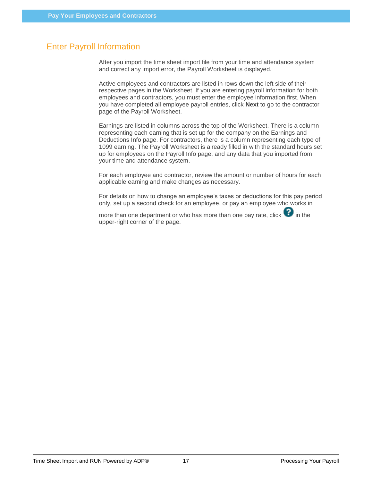# <span id="page-19-0"></span>Enter Payroll Information

After you import the time sheet import file from your time and attendance system and correct any import error, the Payroll Worksheet is displayed.

Active employees and contractors are listed in rows down the left side of their respective pages in the Worksheet. If you are entering payroll information for both employees and contractors, you must enter the employee information first. When you have completed all employee payroll entries, click **Next** to go to the contractor page of the Payroll Worksheet.

Earnings are listed in columns across the top of the Worksheet. There is a column representing each earning that is set up for the company on the Earnings and Deductions Info page. For contractors, there is a column representing each type of 1099 earning. The Payroll Worksheet is already filled in with the standard hours set up for employees on the Payroll Info page, and any data that you imported from your time and attendance system.

For each employee and contractor, review the amount or number of hours for each applicable earning and make changes as necessary.

For details on how to change an employee's taxes or deductions for this pay period only, set up a second check for an employee, or pay an employee who works in

more than one department or who has more than one pay rate, click  $\bullet$  in the upper-right corner of the page.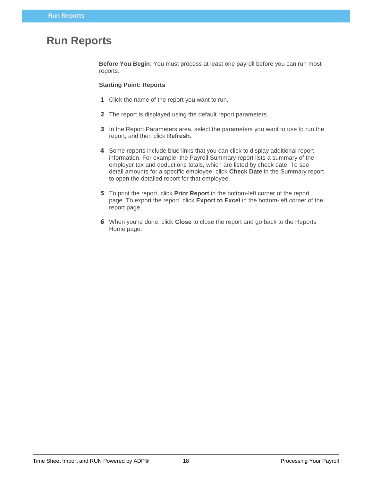# <span id="page-20-0"></span>**Run Reports**

**Before You Begin**: You must process at least one payroll before you can run most reports.

#### **Starting Point: Reports**

- **1** Click the name of the report you want to run.
- **2** The report is displayed using the default report parameters.
- **3** In the Report Parameters area, select the parameters you want to use to run the report, and then click **Refresh**.
- **4** Some reports include blue links that you can click to display additional report information. For example, the Payroll Summary report lists a summary of the employer tax and deductions totals, which are listed by check date. To see detail amounts for a specific employee, click **Check Date** in the Summary report to open the detailed report for that employee.
- **5** To print the report, click **Print Report** in the bottom-left corner of the report page. To export the report, click **Export to Excel** in the bottom-left corner of the report page.
- **6** When you're done, click **Close** to close the report and go back to the Reports Home page.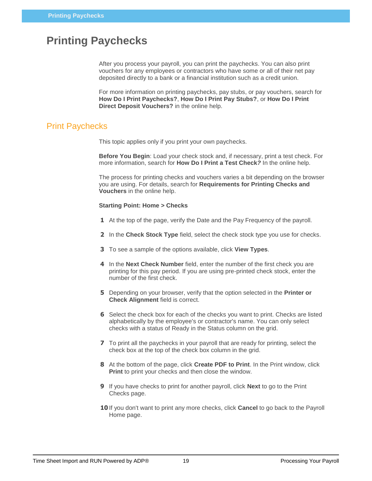# <span id="page-21-0"></span>**Printing Paychecks**

After you process your payroll, you can print the paychecks. You can also print vouchers for any employees or contractors who have some or all of their net pay deposited directly to a bank or a financial institution such as a credit union.

For more information on printing paychecks, pay stubs, or pay vouchers, search for **How Do I Print Paychecks?**, **How Do I Print Pay Stubs?**, or **How Do I Print Direct Deposit Vouchers?** in the online help.

### <span id="page-21-1"></span>Print Paychecks

This topic applies only if you print your own paychecks.

**Before You Begin**: Load your check stock and, if necessary, print a test check. For more information, search for **How Do I Print a Test Check***?* In the online help.

The process for printing checks and vouchers varies a bit depending on the browser you are using. For details, search for **Requirements for Printing Checks and Vouchers** in the online help.

#### **Starting Point: Home > Checks**

- **1** At the top of the page, verify the Date and the Pay Frequency of the payroll.
- **2** In the **Check Stock Type** field, select the check stock type you use for checks.
- **3** To see a sample of the options available, click **View Types**.
- **4** In the **Next Check Number** field, enter the number of the first check you are printing for this pay period. If you are using pre-printed check stock, enter the number of the first check.
- **5** Depending on your browser, verify that the option selected in the **Printer or Check Alignment** field is correct.
- **6** Select the check box for each of the checks you want to print. Checks are listed alphabetically by the employee's or contractor's name. You can only select checks with a status of Ready in the Status column on the grid.
- **7** To print all the paychecks in your payroll that are ready for printing, select the check box at the top of the check box column in the grid.
- **8** At the bottom of the page, click **Create PDF to Print**. In the Print window, click **Print** to print your checks and then close the window.
- **9** If you have checks to print for another payroll, click **Next** to go to the Print Checks page.
- **10** If you don't want to print any more checks, click **Cancel** to go back to the Payroll Home page.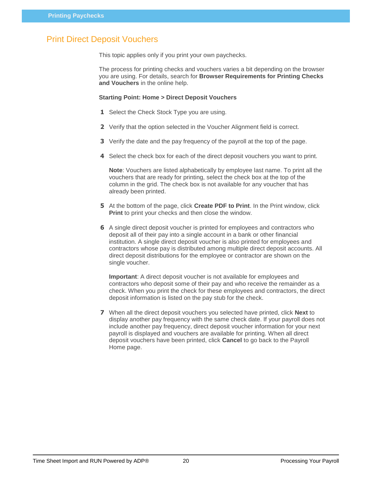## <span id="page-22-0"></span>Print Direct Deposit Vouchers

This topic applies only if you print your own paychecks.

The process for printing checks and vouchers varies a bit depending on the browser you are using. For details, search for **Browser Requirements for Printing Checks and Vouchers** in the online help.

#### **Starting Point: Home > Direct Deposit Vouchers**

- **1** Select the Check Stock Type you are using.
- **2** Verify that the option selected in the Voucher Alignment field is correct.
- **3** Verify the date and the pay frequency of the payroll at the top of the page.
- **4** Select the check box for each of the direct deposit vouchers you want to print.

**Note**: Vouchers are listed alphabetically by employee last name. To print all the vouchers that are ready for printing, select the check box at the top of the column in the grid. The check box is not available for any voucher that has already been printed.

- **5** At the bottom of the page, click **Create PDF to Print**. In the Print window, click **Print** to print your checks and then close the window.
- **6** A single direct deposit voucher is printed for employees and contractors who deposit all of their pay into a single account in a bank or other financial institution. A single direct deposit voucher is also printed for employees and contractors whose pay is distributed among multiple direct deposit accounts. All direct deposit distributions for the employee or contractor are shown on the single voucher.

**Important**: A direct deposit voucher is not available for employees and contractors who deposit some of their pay and who receive the remainder as a check. When you print the check for these employees and contractors, the direct deposit information is listed on the pay stub for the check.

**7** When all the direct deposit vouchers you selected have printed, click **Next** to display another pay frequency with the same check date. If your payroll does not include another pay frequency, direct deposit voucher information for your next payroll is displayed and vouchers are available for printing. When all direct deposit vouchers have been printed, click **Cancel** to go back to the Payroll Home page.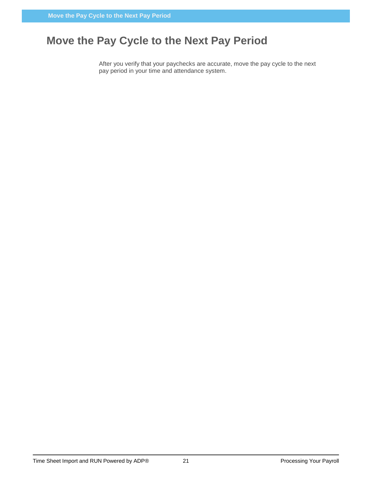# <span id="page-23-0"></span>**Move the Pay Cycle to the Next Pay Period**

After you verify that your paychecks are accurate, move the pay cycle to the next pay period in your time and attendance system.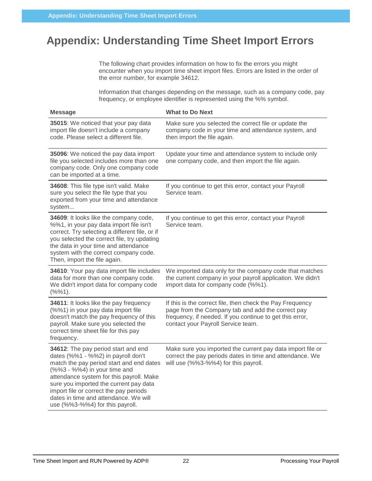# <span id="page-24-0"></span>**Appendix: Understanding Time Sheet Import Errors**

The following chart provides information on how to fix the errors you might encounter when you import time sheet import files. Errors are listed in the order of the error number, for example 34612.

Information that changes depending on the message, such as a company code, pay frequency, or employee identifier is represented using the %% symbol.

| <b>Message</b>                                                                                                                                                                                                                                                                                                                                                    | <b>What to Do Next</b>                                                                                                                                                                                           |
|-------------------------------------------------------------------------------------------------------------------------------------------------------------------------------------------------------------------------------------------------------------------------------------------------------------------------------------------------------------------|------------------------------------------------------------------------------------------------------------------------------------------------------------------------------------------------------------------|
| 35015: We noticed that your pay data<br>import file doesn't include a company<br>code. Please select a different file.                                                                                                                                                                                                                                            | Make sure you selected the correct file or update the<br>company code in your time and attendance system, and<br>then import the file again.                                                                     |
| 35096: We noticed the pay data import<br>file you selected includes more than one<br>company code. Only one company code<br>can be imported at a time.                                                                                                                                                                                                            | Update your time and attendance system to include only<br>one company code, and then import the file again.                                                                                                      |
| 34608: This file type isn't valid. Make<br>sure you select the file type that you<br>exported from your time and attendance<br>system                                                                                                                                                                                                                             | If you continue to get this error, contact your Payroll<br>Service team.                                                                                                                                         |
| 34609: It looks like the company code,<br>%%1, in your pay data import file isn't<br>correct. Try selecting a different file, or if<br>you selected the correct file, try updating<br>the data in your time and attendance<br>system with the correct company code.<br>Then, import the file again.                                                               | If you continue to get this error, contact your Payroll<br>Service team.                                                                                                                                         |
| 34610: Your pay data import file includes<br>data for more than one company code.<br>We didn't import data for company code<br>$(% ^{0}(3,2)\frac{1}{2},$ $(%)^{0}(1)$ .                                                                                                                                                                                          | We imported data only for the company code that matches<br>the current company in your payroll application. We didn't<br>import data for company code (%%1).                                                     |
| 34611: It looks like the pay frequency<br>(%%1) in your pay data import file<br>doesn't match the pay frequency of this<br>payroll. Make sure you selected the<br>correct time sheet file for this pay<br>frequency.                                                                                                                                              | If this is the correct file, then check the Pay Frequency<br>page from the Company tab and add the correct pay<br>frequency, if needed. If you continue to get this error,<br>contact your Payroll Service team. |
| 34612: The pay period start and end<br>dates (%%1 - %%2) in payroll don't<br>match the pay period start and end dates<br>(%%3 - %%4) in your time and<br>attendance system for this payroll. Make<br>sure you imported the current pay data<br>import file or correct the pay periods<br>dates in time and attendance. We will<br>use (%%3-%%4) for this payroll. | Make sure you imported the current pay data import file or<br>correct the pay periods dates in time and attendance. We<br>will use (%%3-%%4) for this payroll.                                                   |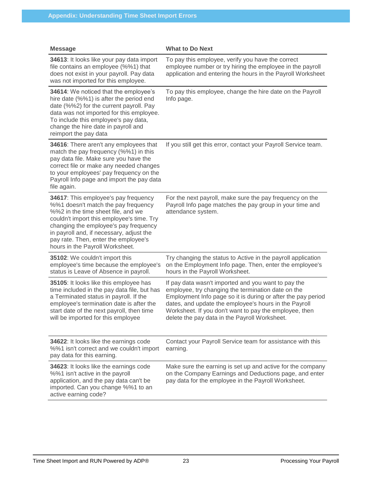| <b>Message</b>                                                                                                                                                                                                                                                                                                                 | <b>What to Do Next</b>                                                                                                                                                                                                                                                                                                                        |
|--------------------------------------------------------------------------------------------------------------------------------------------------------------------------------------------------------------------------------------------------------------------------------------------------------------------------------|-----------------------------------------------------------------------------------------------------------------------------------------------------------------------------------------------------------------------------------------------------------------------------------------------------------------------------------------------|
| 34613: It looks like your pay data import<br>file contains an employee (%%1) that<br>does not exist in your payroll. Pay data<br>was not imported for this employee.                                                                                                                                                           | To pay this employee, verify you have the correct<br>employee number or try hiring the employee in the payroll<br>application and entering the hours in the Payroll Worksheet                                                                                                                                                                 |
| 34614: We noticed that the employee's<br>hire date (%%1) is after the period end<br>date (%%2) for the current payroll. Pay<br>data was not imported for this employee.<br>To include this employee's pay data,<br>change the hire date in payroll and<br>reimport the pay data                                                | To pay this employee, change the hire date on the Payroll<br>Info page.                                                                                                                                                                                                                                                                       |
| 34616: There aren't any employees that<br>match the pay frequency (%%1) in this<br>pay data file. Make sure you have the<br>correct file or make any needed changes<br>to your employees' pay frequency on the<br>Payroll Info page and import the pay data<br>file again.                                                     | If you still get this error, contact your Payroll Service team.                                                                                                                                                                                                                                                                               |
| 34617: This employee's pay frequency<br>%%1 doesn't match the pay frequency<br>%%2 in the time sheet file, and we<br>couldn't import this employee's time. Try<br>changing the employee's pay frequency<br>in payroll and, if necessary, adjust the<br>pay rate. Then, enter the employee's<br>hours in the Payroll Worksheet. | For the next payroll, make sure the pay frequency on the<br>Payroll Info page matches the pay group in your time and<br>attendance system.                                                                                                                                                                                                    |
| 35102: We couldn't import this<br>employee's time because the employee's<br>status is Leave of Absence in payroll.                                                                                                                                                                                                             | Try changing the status to Active in the payroll application<br>on the Employment Info page. Then, enter the employee's<br>hours in the Payroll Worksheet.                                                                                                                                                                                    |
| 35105: It looks like this employee has<br>time included in the pay data file, but has<br>a Terminated status in payroll. If the<br>employee's termination date is after the<br>start date of the next payroll, then time<br>will be imported for this employee                                                                 | If pay data wasn't imported and you want to pay the<br>employee, try changing the termination date on the<br>Employment Info page so it is during or after the pay period<br>dates, and update the employee's hours in the Payroll<br>Worksheet. If you don't want to pay the employee, then<br>delete the pay data in the Payroll Worksheet. |
| 34622: It looks like the earnings code<br>%%1 isn't correct and we couldn't import<br>pay data for this earning.                                                                                                                                                                                                               | Contact your Payroll Service team for assistance with this<br>earning.                                                                                                                                                                                                                                                                        |
| 34623: It looks like the earnings code<br>%%1 isn't active in the payroll<br>application, and the pay data can't be<br>imported. Can you change %%1 to an<br>active earning code?                                                                                                                                              | Make sure the earning is set up and active for the company<br>on the Company Earnings and Deductions page, and enter<br>pay data for the employee in the Payroll Worksheet.                                                                                                                                                                   |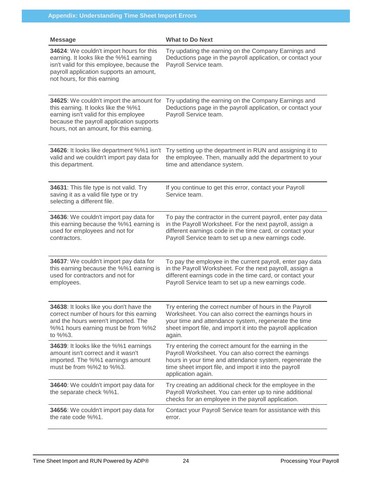| <b>Message</b>                                                                                                                                                                                                  | <b>What to Do Next</b>                                                                                                                                                                                                                                     |
|-----------------------------------------------------------------------------------------------------------------------------------------------------------------------------------------------------------------|------------------------------------------------------------------------------------------------------------------------------------------------------------------------------------------------------------------------------------------------------------|
| 34624: We couldn't import hours for this<br>earning. It looks like the %%1 earning<br>isn't valid for this employee, because the<br>payroll application supports an amount,<br>not hours, for this earning      | Try updating the earning on the Company Earnings and<br>Deductions page in the payroll application, or contact your<br>Payroll Service team.                                                                                                               |
| 34625: We couldn't import the amount for<br>this earning. It looks like the %%1<br>earning isn't valid for this employee<br>because the payroll application supports<br>hours, not an amount, for this earning. | Try updating the earning on the Company Earnings and<br>Deductions page in the payroll application, or contact your<br>Payroll Service team.                                                                                                               |
| 34626: It looks like department %%1 isn't<br>valid and we couldn't import pay data for<br>this department.                                                                                                      | Try setting up the department in RUN and assigning it to<br>the employee. Then, manually add the department to your<br>time and attendance system.                                                                                                         |
| 34631: This file type is not valid. Try<br>saving it as a valid file type or try<br>selecting a different file.                                                                                                 | If you continue to get this error, contact your Payroll<br>Service team.                                                                                                                                                                                   |
| 34636: We couldn't import pay data for<br>this earning because the %%1 earning is<br>used for employees and not for<br>contractors.                                                                             | To pay the contractor in the current payroll, enter pay data<br>in the Payroll Worksheet. For the next payroll, assign a<br>different earnings code in the time card, or contact your<br>Payroll Service team to set up a new earnings code.               |
| 34637: We couldn't import pay data for<br>this earning because the %%1 earning is<br>used for contractors and not for<br>employees.                                                                             | To pay the employee in the current payroll, enter pay data<br>in the Payroll Worksheet. For the next payroll, assign a<br>different earnings code in the time card, or contact your<br>Payroll Service team to set up a new earnings code.                 |
| 34638: It looks like you don't have the<br>correct number of hours for this earning<br>and the hours weren't imported. The<br>%%1 hours earning must be from %%2<br>to $\frac{9}{3}$ .                          | Try entering the correct number of hours in the Payroll<br>Worksheet. You can also correct the earnings hours in<br>your time and attendance system, regenerate the time<br>sheet import file, and import it into the payroll application<br>again.        |
| 34639: It looks like the %%1 earnings<br>amount isn't correct and it wasn't<br>imported. The %%1 earnings amount<br>must be from %%2 to %%3.                                                                    | Try entering the correct amount for the earning in the<br>Payroll Worksheet. You can also correct the earnings<br>hours in your time and attendance system, regenerate the<br>time sheet import file, and import it into the payroll<br>application again. |
| 34640: We couldn't import pay data for<br>the separate check %%1.                                                                                                                                               | Try creating an additional check for the employee in the<br>Payroll Worksheet. You can enter up to nine additional<br>checks for an employee in the payroll application.                                                                                   |
| 34656: We couldn't import pay data for<br>the rate code %%1.                                                                                                                                                    | Contact your Payroll Service team for assistance with this<br>error.                                                                                                                                                                                       |